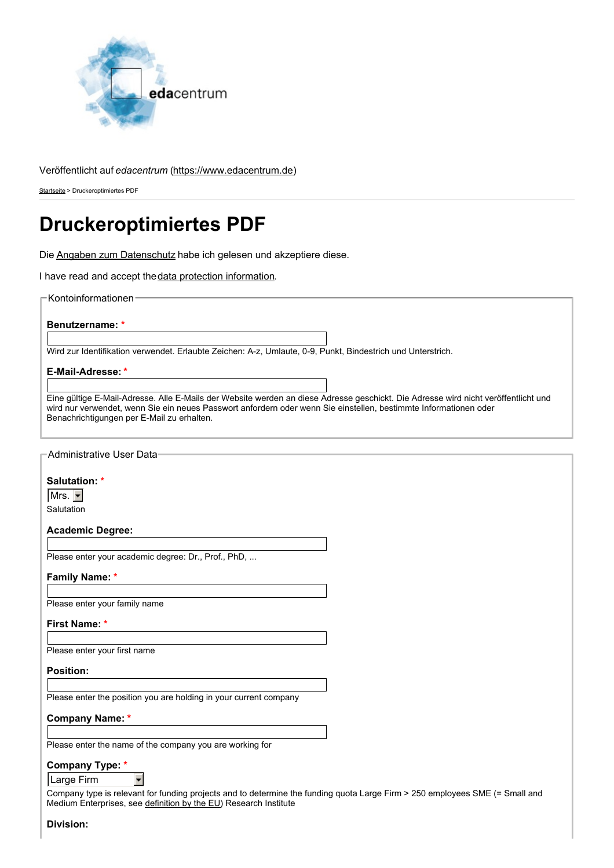

## Veröffentlicht auf *edacentrum* [\(https://www.edacentrum.de](https://www.edacentrum.de))

[Startseite](https://www.edacentrum.de/) > Druckeroptimiertes PDF

# **Druckeroptimiertes PDF**

Die Angaben zum [Datenschutz](https://www.edacentrum.de/datenschutzerklaerung) habe ich gelesen und akzeptiere diese.

I have read and accept the data protection [information](https://www.edacentrum.de/en/privacy-policy).

Kontoinformationen

**Benutzername: \***

Wird zur Identifikation verwendet. Erlaubte Zeichen: A-z, Umlaute, 0-9, Punkt, Bindestrich und Unterstrich.

**E-Mail-Adresse: \***

Eine gültige E-Mail-Adresse. Alle E-Mails der Website werden an diese Adresse geschickt. Die Adresse wird nicht veröffentlicht und wird nur verwendet, wenn Sie ein neues Passwort anfordern oder wenn Sie einstellen, bestimmte Informationen oder Benachrichtigungen per E-Mail zu erhalten.

| Administrative User Data                                                                                                                                                                         |  |
|--------------------------------------------------------------------------------------------------------------------------------------------------------------------------------------------------|--|
|                                                                                                                                                                                                  |  |
|                                                                                                                                                                                                  |  |
| Salutation: *                                                                                                                                                                                    |  |
| $Mrs.$ $\blacktriangledown$                                                                                                                                                                      |  |
| Salutation                                                                                                                                                                                       |  |
|                                                                                                                                                                                                  |  |
| <b>Academic Degree:</b>                                                                                                                                                                          |  |
|                                                                                                                                                                                                  |  |
| Please enter your academic degree: Dr., Prof., PhD,                                                                                                                                              |  |
|                                                                                                                                                                                                  |  |
| <b>Family Name:</b> *                                                                                                                                                                            |  |
|                                                                                                                                                                                                  |  |
| Please enter your family name                                                                                                                                                                    |  |
|                                                                                                                                                                                                  |  |
| First Name: *                                                                                                                                                                                    |  |
|                                                                                                                                                                                                  |  |
| Please enter your first name                                                                                                                                                                     |  |
|                                                                                                                                                                                                  |  |
| <b>Position:</b>                                                                                                                                                                                 |  |
|                                                                                                                                                                                                  |  |
| Please enter the position you are holding in your current company                                                                                                                                |  |
|                                                                                                                                                                                                  |  |
| <b>Company Name: *</b>                                                                                                                                                                           |  |
|                                                                                                                                                                                                  |  |
| Please enter the name of the company you are working for                                                                                                                                         |  |
|                                                                                                                                                                                                  |  |
| Company Type: *                                                                                                                                                                                  |  |
| Large Firm                                                                                                                                                                                       |  |
|                                                                                                                                                                                                  |  |
| Company type is relevant for funding projects and to determine the funding quota Large Firm > 250 employees SME (= Small and<br>Medium Enterprises, see definition by the EU) Research Institute |  |
|                                                                                                                                                                                                  |  |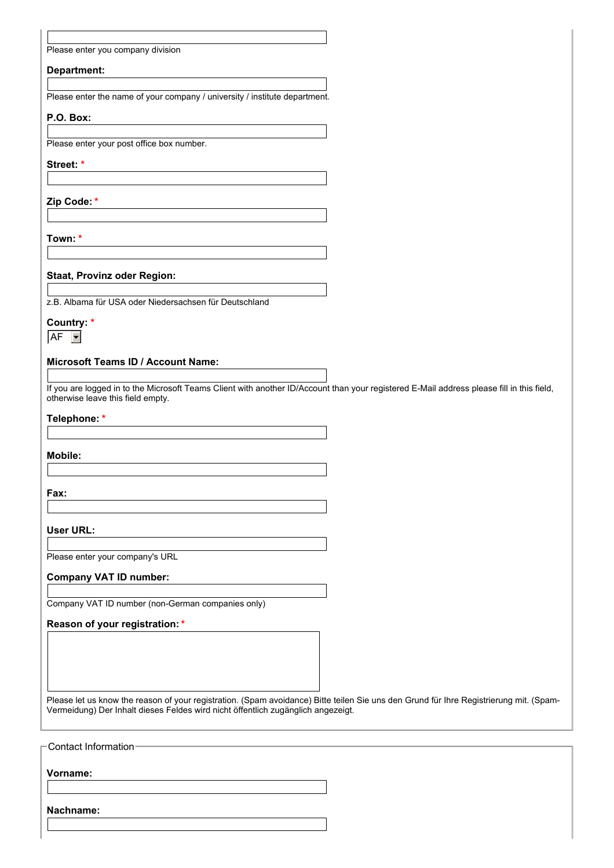|  |  | Please enter you company division |
|--|--|-----------------------------------|
|  |  |                                   |

#### **Department:**

Please enter the name of your company / university / institute department.

#### **P.O. Box:**

Please enter your post office box number.

#### **Street: \***

**Zip Code: \***

**Town: \***

#### **Staat, Provinz oder Region:**

z.B. Albama für USA oder Niedersachsen für Deutschland

#### **Country: \***

AF  $\vert \cdot \vert$ 

## **Microsoft Teams ID / Account Name:**

If you are logged in to the Microsoft Teams Client with another ID/Account than your registered E-Mail address please fill in this field, otherwise leave this field empty.

#### **Telephone: \***

**Mobile:**

**Fax:**

**User URL:**

Please enter your company's URL

#### **Company VAT ID number:**

Company VAT ID number (non-German companies only)

#### **Reason of your registration:\***

Please let us know the reason of your registration. (Spam avoidance) Bitte teilen Sie uns den Grund für Ihre Registrierung mit. (Spam-Vermeidung) Der Inhalt dieses Feldes wird nicht öffentlich zugänglich angezeigt.

Contact Information **Vorname: Nachname:**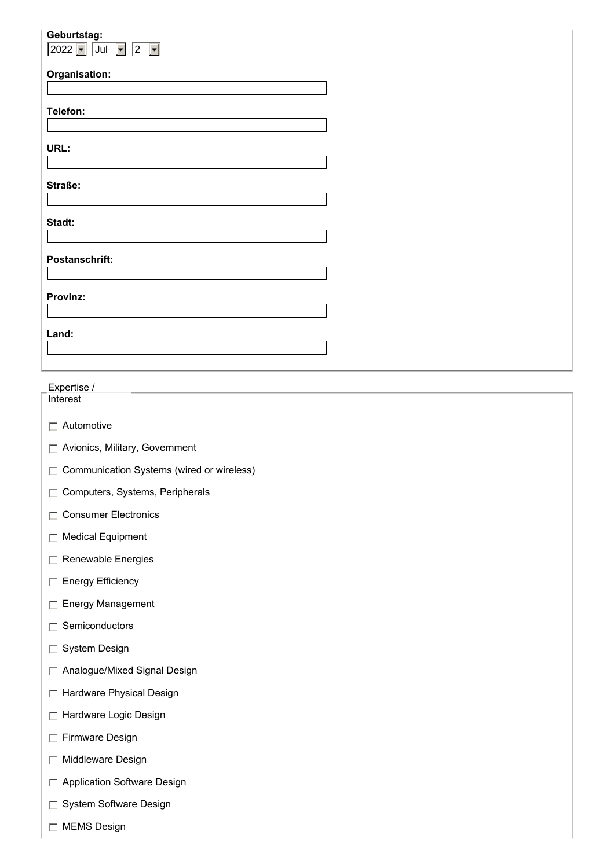| Geburtstag:                               |  |
|-------------------------------------------|--|
| $\sqrt{2022 - \text{Jul}}$<br>$\boxed{2}$ |  |
| Organisation:                             |  |
|                                           |  |
| Telefon:                                  |  |
|                                           |  |
| URL:                                      |  |
|                                           |  |
| Straße:                                   |  |
|                                           |  |
| Stadt:                                    |  |
|                                           |  |
| Postanschrift:                            |  |
|                                           |  |
| Provinz:                                  |  |
|                                           |  |
| Land:                                     |  |
|                                           |  |
|                                           |  |
|                                           |  |

# Expertise /

**Interest** 

- Automotive
- □ Avionics, Military, Government
- □ Communication Systems (wired or wireless)
- Computers, Systems, Peripherals
- Consumer Electronics
- □ Medical Equipment
- Renewable Energies
- **Energy Efficiency**
- Energy Management
- $\Box$  Semiconductors
- □ System Design
- Analogue/Mixed Signal Design
- □ Hardware Physical Design
- □ Hardware Logic Design
- Firmware Design
- **Middleware Design**
- □ Application Software Design
- System Software Design
- □ MEMS Design